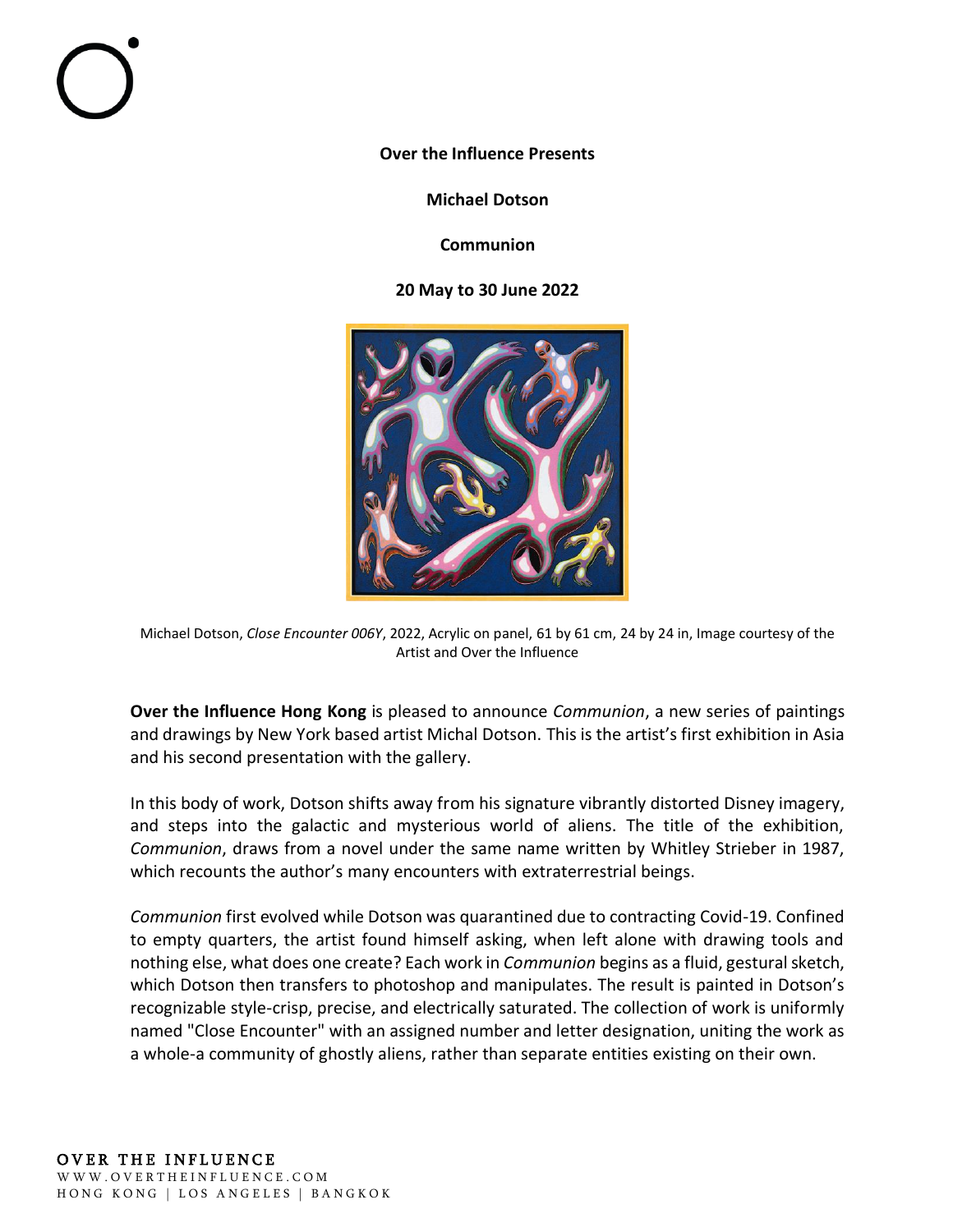**Over the Influence Presents**

**Michael Dotson**

**Communion**

**20 May to 30 June 2022**



Michael Dotson, *Close Encounter 006Y*, 2022, Acrylic on panel, 61 by 61 cm, 24 by 24 in, Image courtesy of the Artist and Over the Influence

**Over the Influence Hong Kong** is pleased to announce *Communion*, a new series of paintings and drawings by New York based artist Michal Dotson. This is the artist's first exhibition in Asia and his second presentation with the gallery.

In this body of work, Dotson shifts away from his signature vibrantly distorted Disney imagery, and steps into the galactic and mysterious world of aliens. The title of the exhibition, *Communion*, draws from a novel under the same name written by Whitley Strieber in 1987, which recounts the author's many encounters with extraterrestrial beings.

*Communion* first evolved while Dotson was quarantined due to contracting Covid-19. Confined to empty quarters, the artist found himself asking, when left alone with drawing tools and nothing else, what does one create? Each work in *Communion* begins as a fluid, gestural sketch, which Dotson then transfers to photoshop and manipulates. The result is painted in Dotson's recognizable style-crisp, precise, and electrically saturated. The collection of work is uniformly named "Close Encounter" with an assigned number and letter designation, uniting the work as a whole-a community of ghostly aliens, rather than separate entities existing on their own.